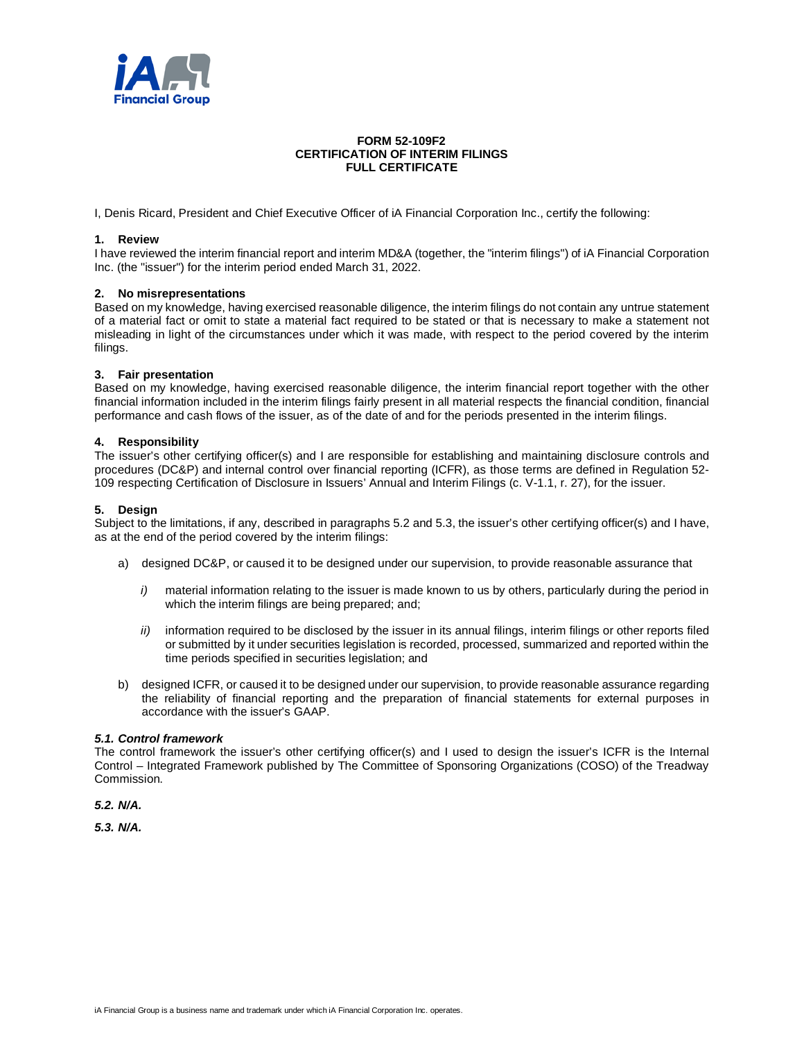

## **FORM 52-109F2 CERTIFICATION OF INTERIM FILINGS FULL CERTIFICATE**

I, Denis Ricard, President and Chief Executive Officer of iA Financial Corporation Inc., certify the following:

### **1. Review**

I have reviewed the interim financial report and interim MD&A (together, the "interim filings") of iA Financial Corporation Inc. (the "issuer") for the interim period ended March 31, 2022.

### **2. No misrepresentations**

Based on my knowledge, having exercised reasonable diligence, the interim filings do not contain any untrue statement of a material fact or omit to state a material fact required to be stated or that is necessary to make a statement not misleading in light of the circumstances under which it was made, with respect to the period covered by the interim filings.

### **3. Fair presentation**

Based on my knowledge, having exercised reasonable diligence, the interim financial report together with the other financial information included in the interim filings fairly present in all material respects the financial condition, financial performance and cash flows of the issuer, as of the date of and for the periods presented in the interim filings.

### **4. Responsibility**

The issuer's other certifying officer(s) and I are responsible for establishing and maintaining disclosure controls and procedures (DC&P) and internal control over financial reporting (ICFR), as those terms are defined in Regulation 52- 109 respecting Certification of Disclosure in Issuers' Annual and Interim Filings (c. V-1.1, r. 27), for the issuer.

### **5. Design**

Subject to the limitations, if any, described in paragraphs 5.2 and 5.3, the issuer's other certifying officer(s) and I have, as at the end of the period covered by the interim filings:

- a) designed DC&P, or caused it to be designed under our supervision, to provide reasonable assurance that
	- *i*) material information relating to the issuer is made known to us by others, particularly during the period in which the interim filings are being prepared; and;
	- *ii)* information required to be disclosed by the issuer in its annual filings, interim filings or other reports filed or submitted by it under securities legislation is recorded, processed, summarized and reported within the time periods specified in securities legislation; and
- b) designed ICFR, or caused it to be designed under our supervision, to provide reasonable assurance regarding the reliability of financial reporting and the preparation of financial statements for external purposes in accordance with the issuer's GAAP.

#### *5.1. Control framework*

The control framework the issuer's other certifying officer(s) and I used to design the issuer's ICFR is the Internal Control – Integrated Framework published by The Committee of Sponsoring Organizations (COSO) of the Treadway Commission.

*5.2. N/A.*

*5.3. N/A.*